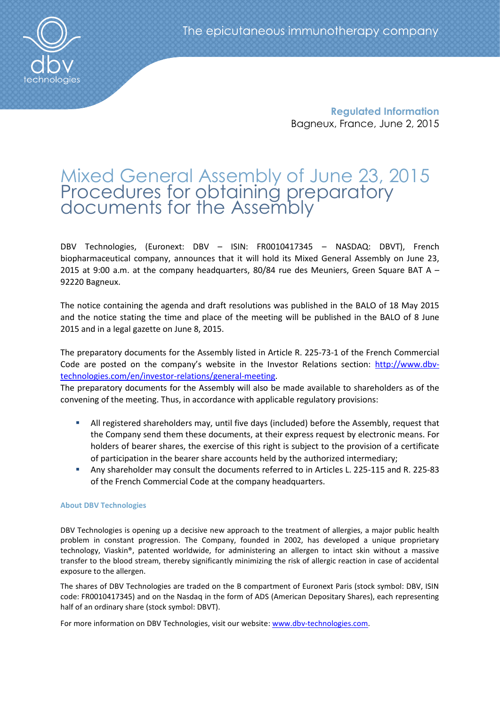**Regulated Information** Bagneux, France, June 2, 2015

# Mixed General Assembly of June 23, 2015 Procedures for obtaining preparatory documents for the Assembly'

DBV Technologies, (Euronext: DBV – ISIN: FR0010417345 – NASDAQ: DBVT), French biopharmaceutical company, announces that it will hold its Mixed General Assembly on June 23, 2015 at 9:00 a.m. at the company headquarters, 80/84 rue des Meuniers, Green Square BAT A  $-$ 92220 Bagneux.

The notice containing the agenda and draft resolutions was published in the BALO of 18 May 2015 and the notice stating the time and place of the meeting will be published in the BALO of 8 June 2015 and in a legal gazette on June 8, 2015.

The preparatory documents for the Assembly listed in Article R. 225-73-1 of the French Commercial Code are posted on the company's website in the Investor Relations section: [http://www.dbv](http://www.dbv-technologies.com/en/investor-relations/general-meeting)[technologies.com/en/investor-relations/general-meeting.](http://www.dbv-technologies.com/en/investor-relations/general-meeting)

The preparatory documents for the Assembly will also be made available to shareholders as of the convening of the meeting. Thus, in accordance with applicable regulatory provisions:

- All registered shareholders may, until five days (included) before the Assembly, request that the Company send them these documents, at their express request by electronic means. For holders of bearer shares, the exercise of this right is subject to the provision of a certificate of participation in the bearer share accounts held by the authorized intermediary;
- Any shareholder may consult the documents referred to in Articles L. 225-115 and R. 225-83 of the French Commercial Code at the company headquarters.

## **About DBV Technologies**

DBV Technologies is opening up a decisive new approach to the treatment of allergies, a major public health problem in constant progression. The Company, founded in 2002, has developed a unique proprietary technology, Viaskin®, patented worldwide, for administering an allergen to intact skin without a massive transfer to the blood stream, thereby significantly minimizing the risk of allergic reaction in case of accidental exposure to the allergen.

The shares of DBV Technologies are traded on the B compartment of Euronext Paris (stock symbol: DBV, ISIN code: FR0010417345) and on the Nasdaq in the form of ADS (American Depositary Shares), each representing half of an ordinary share (stock symbol: DBVT).

For more information on DBV Technologies, visit our website: [www.dbv-technologies.com.](http://www.dbv-technologies.com/)